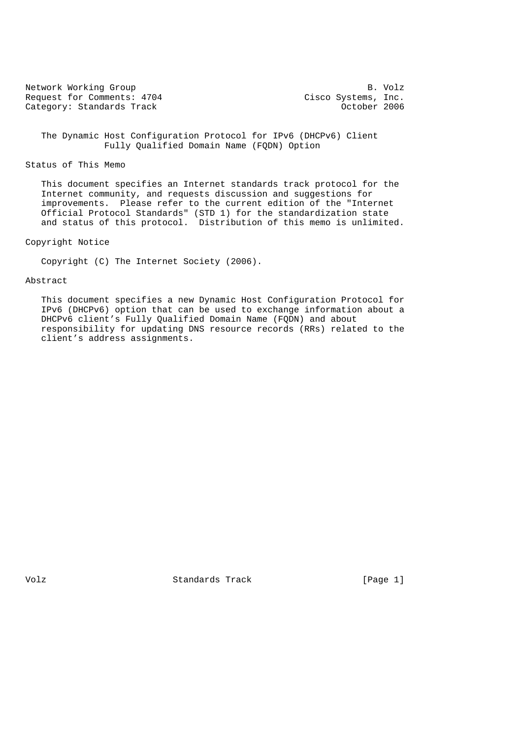Network Working Group B. Volz<br>Request for Comments: 4704 Cisco Systems, Inc. Request for Comments: 4704 Cisco Systems, Inc.<br>Category: Standards Track Category: Category: Category: Category: Category: Category: Category: Category: Category Category: Standards Track

 The Dynamic Host Configuration Protocol for IPv6 (DHCPv6) Client Fully Qualified Domain Name (FQDN) Option

# Status of This Memo

 This document specifies an Internet standards track protocol for the Internet community, and requests discussion and suggestions for improvements. Please refer to the current edition of the "Internet Official Protocol Standards" (STD 1) for the standardization state and status of this protocol. Distribution of this memo is unlimited.

# Copyright Notice

Copyright (C) The Internet Society (2006).

# Abstract

 This document specifies a new Dynamic Host Configuration Protocol for IPv6 (DHCPv6) option that can be used to exchange information about a DHCPv6 client's Fully Qualified Domain Name (FQDN) and about responsibility for updating DNS resource records (RRs) related to the client's address assignments.

Volz **Standards Track** [Page 1]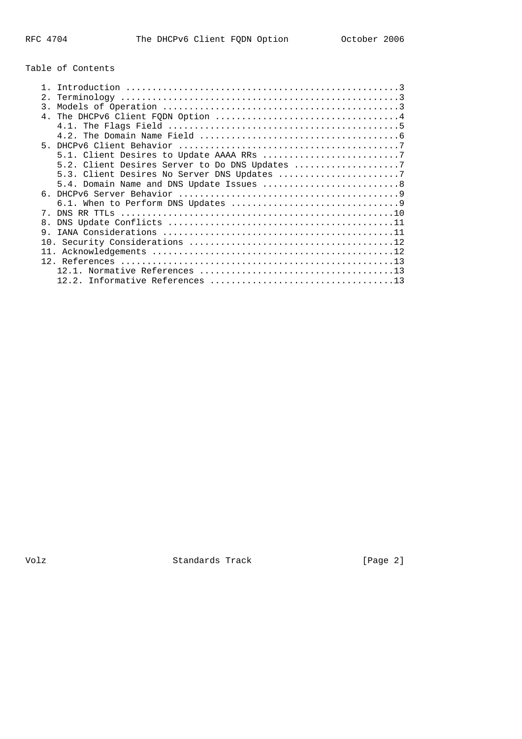# Table of Contents

| 2.             |                                           |
|----------------|-------------------------------------------|
| 3.             |                                           |
|                |                                           |
|                |                                           |
|                |                                           |
| $5 -$          |                                           |
|                |                                           |
|                |                                           |
|                |                                           |
|                | 5.4. Domain Name and DNS Update Issues  8 |
|                |                                           |
|                |                                           |
|                |                                           |
| 8 <sub>1</sub> |                                           |
| 9              |                                           |
|                |                                           |
|                |                                           |
|                |                                           |
|                |                                           |
|                |                                           |
|                |                                           |

Volz Standards Track [Page 2]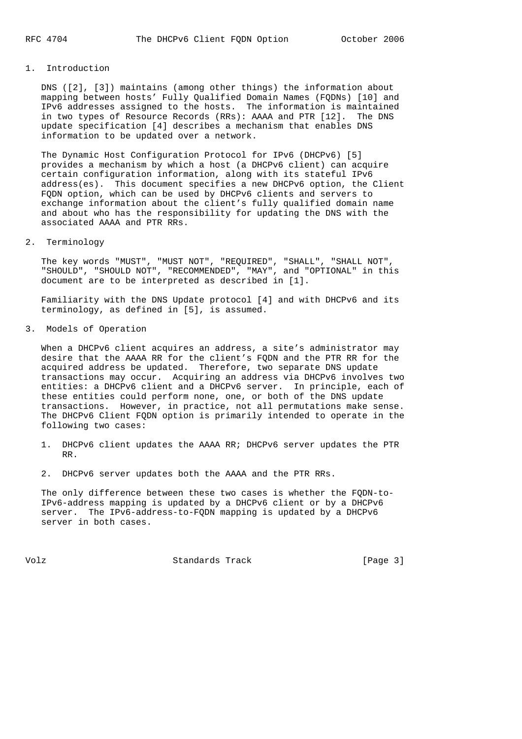#### 1. Introduction

 DNS ([2], [3]) maintains (among other things) the information about mapping between hosts' Fully Qualified Domain Names (FQDNs) [10] and IPv6 addresses assigned to the hosts. The information is maintained in two types of Resource Records (RRs): AAAA and PTR [12]. The DNS update specification [4] describes a mechanism that enables DNS information to be updated over a network.

 The Dynamic Host Configuration Protocol for IPv6 (DHCPv6) [5] provides a mechanism by which a host (a DHCPv6 client) can acquire certain configuration information, along with its stateful IPv6 address(es). This document specifies a new DHCPv6 option, the Client FQDN option, which can be used by DHCPv6 clients and servers to exchange information about the client's fully qualified domain name and about who has the responsibility for updating the DNS with the associated AAAA and PTR RRs.

#### 2. Terminology

 The key words "MUST", "MUST NOT", "REQUIRED", "SHALL", "SHALL NOT", "SHOULD", "SHOULD NOT", "RECOMMENDED", "MAY", and "OPTIONAL" in this document are to be interpreted as described in [1].

 Familiarity with the DNS Update protocol [4] and with DHCPv6 and its terminology, as defined in [5], is assumed.

3. Models of Operation

When a DHCPv6 client acquires an address, a site's administrator may desire that the AAAA RR for the client's FQDN and the PTR RR for the acquired address be updated. Therefore, two separate DNS update transactions may occur. Acquiring an address via DHCPv6 involves two entities: a DHCPv6 client and a DHCPv6 server. In principle, each of these entities could perform none, one, or both of the DNS update transactions. However, in practice, not all permutations make sense. The DHCPv6 Client FQDN option is primarily intended to operate in the following two cases:

- 1. DHCPv6 client updates the AAAA RR; DHCPv6 server updates the PTR RR.
- 2. DHCPv6 server updates both the AAAA and the PTR RRs.

 The only difference between these two cases is whether the FQDN-to- IPv6-address mapping is updated by a DHCPv6 client or by a DHCPv6 server. The IPv6-address-to-FQDN mapping is updated by a DHCPv6 server in both cases.

Volz **Standards Track** [Page 3]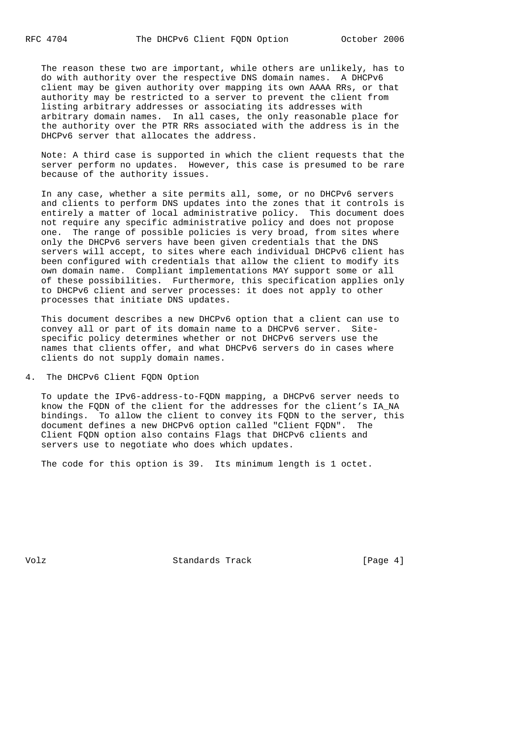The reason these two are important, while others are unlikely, has to do with authority over the respective DNS domain names. A DHCPv6 client may be given authority over mapping its own AAAA RRs, or that authority may be restricted to a server to prevent the client from listing arbitrary addresses or associating its addresses with arbitrary domain names. In all cases, the only reasonable place for the authority over the PTR RRs associated with the address is in the DHCPv6 server that allocates the address.

 Note: A third case is supported in which the client requests that the server perform no updates. However, this case is presumed to be rare because of the authority issues.

 In any case, whether a site permits all, some, or no DHCPv6 servers and clients to perform DNS updates into the zones that it controls is entirely a matter of local administrative policy. This document does not require any specific administrative policy and does not propose one. The range of possible policies is very broad, from sites where only the DHCPv6 servers have been given credentials that the DNS servers will accept, to sites where each individual DHCPv6 client has been configured with credentials that allow the client to modify its own domain name. Compliant implementations MAY support some or all of these possibilities. Furthermore, this specification applies only to DHCPv6 client and server processes: it does not apply to other processes that initiate DNS updates.

 This document describes a new DHCPv6 option that a client can use to convey all or part of its domain name to a DHCPv6 server. Site specific policy determines whether or not DHCPv6 servers use the names that clients offer, and what DHCPv6 servers do in cases where clients do not supply domain names.

4. The DHCPv6 Client FQDN Option

 To update the IPv6-address-to-FQDN mapping, a DHCPv6 server needs to know the FQDN of the client for the addresses for the client's IA\_NA bindings. To allow the client to convey its FQDN to the server, this document defines a new DHCPv6 option called "Client FQDN". The Client FQDN option also contains Flags that DHCPv6 clients and servers use to negotiate who does which updates.

The code for this option is 39. Its minimum length is 1 octet.

Volz **Standards Track** [Page 4]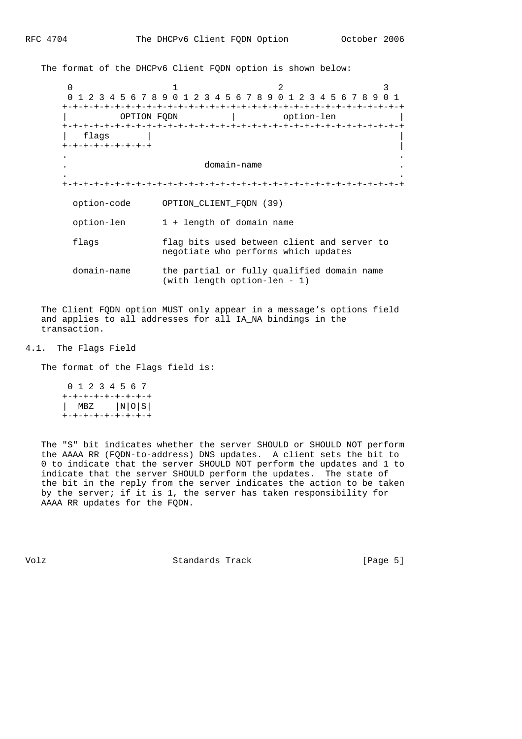The format of the DHCPv6 Client FQDN option is shown below:

 $0$  1 2 3 0 1 2 3 4 5 6 7 8 9 0 1 2 3 4 5 6 7 8 9 0 1 2 3 4 5 6 7 8 9 0 1 +-+-+-+-+-+-+-+-+-+-+-+-+-+-+-+-+-+-+-+-+-+-+-+-+-+-+-+-+-+-+-+-+ | OPTION\_FQDN | option-len | +-+-+-+-+-+-+-+-+-+-+-+-+-+-+-+-+-+-+-+-+-+-+-+-+-+-+-+-+-+-+-+-+ | flags | | +-+-+-+-+-+-+-+-+ | . . . domain-name . . . +-+-+-+-+-+-+-+-+-+-+-+-+-+-+-+-+-+-+-+-+-+-+-+-+-+-+-+-+-+-+-+-+ option-code OPTION\_CLIENT\_FQDN (39) option-len 1 + length of domain name flags flag bits used between client and server to negotiate who performs which updates domain-name the partial or fully qualified domain name (with length option-len - 1)

 The Client FQDN option MUST only appear in a message's options field and applies to all addresses for all IA NA bindings in the transaction.

#### 4.1. The Flags Field

The format of the Flags field is:

|                       | 0 1 2 3 4 5 6 7 |  |  |  |
|-----------------------|-----------------|--|--|--|
| +-+-+-+-+-+-+-+-+     |                 |  |  |  |
| $ $ MBZ $ N $ O $ S $ |                 |  |  |  |
| +-+-+-+-+-+-+-+-+     |                 |  |  |  |

 The "S" bit indicates whether the server SHOULD or SHOULD NOT perform the AAAA RR (FQDN-to-address) DNS updates. A client sets the bit to 0 to indicate that the server SHOULD NOT perform the updates and 1 to indicate that the server SHOULD perform the updates. The state of the bit in the reply from the server indicates the action to be taken by the server; if it is 1, the server has taken responsibility for AAAA RR updates for the FQDN.

Volz **Standards Track** [Page 5]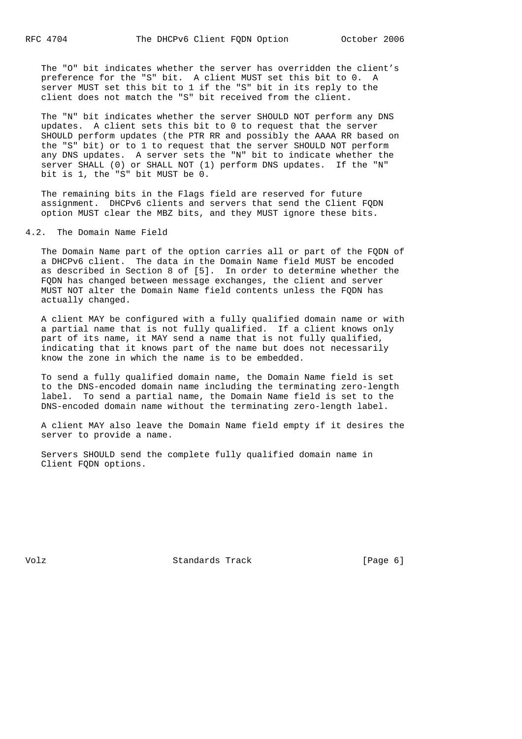The "O" bit indicates whether the server has overridden the client's preference for the "S" bit. A client MUST set this bit to 0. A server MUST set this bit to 1 if the "S" bit in its reply to the client does not match the "S" bit received from the client.

 The "N" bit indicates whether the server SHOULD NOT perform any DNS updates. A client sets this bit to 0 to request that the server SHOULD perform updates (the PTR RR and possibly the AAAA RR based on the "S" bit) or to 1 to request that the server SHOULD NOT perform any DNS updates. A server sets the "N" bit to indicate whether the server SHALL (0) or SHALL NOT (1) perform DNS updates. If the "N" bit is 1, the "S" bit MUST be 0.

 The remaining bits in the Flags field are reserved for future assignment. DHCPv6 clients and servers that send the Client FQDN option MUST clear the MBZ bits, and they MUST ignore these bits.

#### 4.2. The Domain Name Field

 The Domain Name part of the option carries all or part of the FQDN of a DHCPv6 client. The data in the Domain Name field MUST be encoded as described in Section 8 of [5]. In order to determine whether the FQDN has changed between message exchanges, the client and server MUST NOT alter the Domain Name field contents unless the FQDN has actually changed.

 A client MAY be configured with a fully qualified domain name or with a partial name that is not fully qualified. If a client knows only part of its name, it MAY send a name that is not fully qualified, indicating that it knows part of the name but does not necessarily know the zone in which the name is to be embedded.

 To send a fully qualified domain name, the Domain Name field is set to the DNS-encoded domain name including the terminating zero-length label. To send a partial name, the Domain Name field is set to the DNS-encoded domain name without the terminating zero-length label.

 A client MAY also leave the Domain Name field empty if it desires the server to provide a name.

 Servers SHOULD send the complete fully qualified domain name in Client FQDN options.

Volz **Standards Track** [Page 6]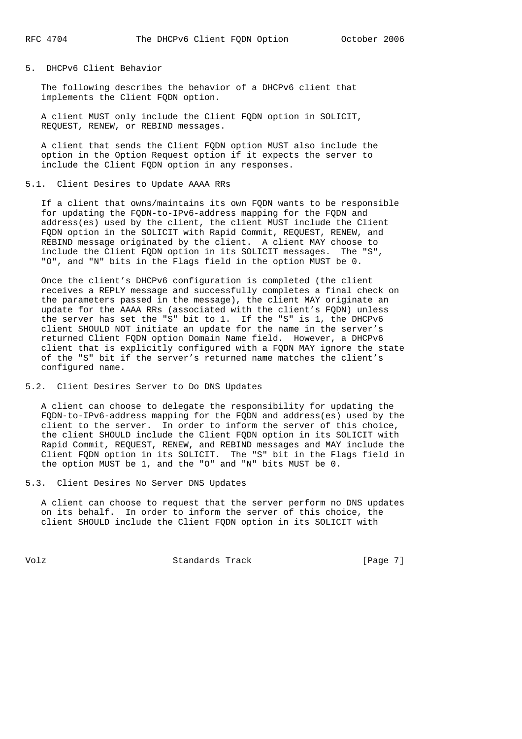## 5. DHCPv6 Client Behavior

 The following describes the behavior of a DHCPv6 client that implements the Client FQDN option.

 A client MUST only include the Client FQDN option in SOLICIT, REQUEST, RENEW, or REBIND messages.

 A client that sends the Client FQDN option MUST also include the option in the Option Request option if it expects the server to include the Client FQDN option in any responses.

#### 5.1. Client Desires to Update AAAA RRs

 If a client that owns/maintains its own FQDN wants to be responsible for updating the FQDN-to-IPv6-address mapping for the FQDN and address(es) used by the client, the client MUST include the Client FQDN option in the SOLICIT with Rapid Commit, REQUEST, RENEW, and REBIND message originated by the client. A client MAY choose to include the Client FQDN option in its SOLICIT messages. The "S", "O", and "N" bits in the Flags field in the option MUST be 0.

 Once the client's DHCPv6 configuration is completed (the client receives a REPLY message and successfully completes a final check on the parameters passed in the message), the client MAY originate an update for the AAAA RRs (associated with the client's FQDN) unless the server has set the "S" bit to 1. If the "S" is 1, the DHCPv6 client SHOULD NOT initiate an update for the name in the server's returned Client FQDN option Domain Name field. However, a DHCPv6 client that is explicitly configured with a FQDN MAY ignore the state of the "S" bit if the server's returned name matches the client's configured name.

### 5.2. Client Desires Server to Do DNS Updates

 A client can choose to delegate the responsibility for updating the FQDN-to-IPv6-address mapping for the FQDN and address(es) used by the client to the server. In order to inform the server of this choice, the client SHOULD include the Client FQDN option in its SOLICIT with Rapid Commit, REQUEST, RENEW, and REBIND messages and MAY include the Client FQDN option in its SOLICIT. The "S" bit in the Flags field in the option MUST be 1, and the "O" and "N" bits MUST be 0.

5.3. Client Desires No Server DNS Updates

 A client can choose to request that the server perform no DNS updates on its behalf. In order to inform the server of this choice, the client SHOULD include the Client FQDN option in its SOLICIT with

Volz **Standards Track** [Page 7]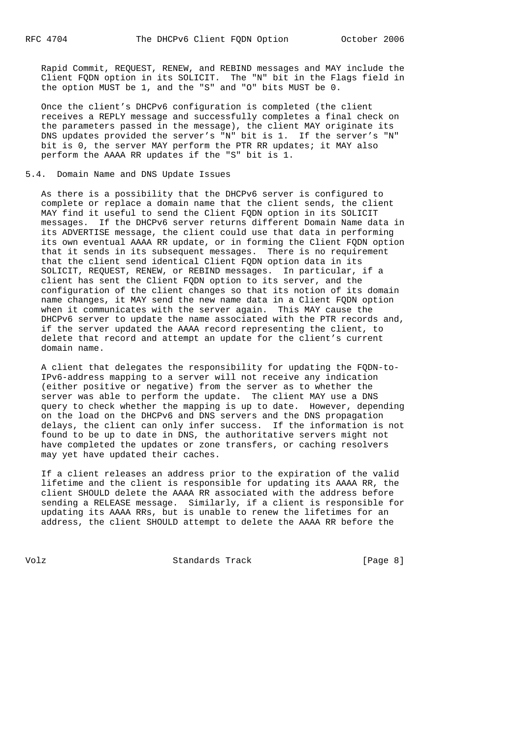Rapid Commit, REQUEST, RENEW, and REBIND messages and MAY include the Client FQDN option in its SOLICIT. The "N" bit in the Flags field in the option MUST be 1, and the "S" and "O" bits MUST be 0.

 Once the client's DHCPv6 configuration is completed (the client receives a REPLY message and successfully completes a final check on the parameters passed in the message), the client MAY originate its DNS updates provided the server's "N" bit is 1. If the server's "N" bit is 0, the server MAY perform the PTR RR updates; it MAY also perform the AAAA RR updates if the "S" bit is 1.

#### 5.4. Domain Name and DNS Update Issues

 As there is a possibility that the DHCPv6 server is configured to complete or replace a domain name that the client sends, the client MAY find it useful to send the Client FQDN option in its SOLICIT messages. If the DHCPv6 server returns different Domain Name data in its ADVERTISE message, the client could use that data in performing its own eventual AAAA RR update, or in forming the Client FQDN option that it sends in its subsequent messages. There is no requirement that the client send identical Client FQDN option data in its SOLICIT, REQUEST, RENEW, or REBIND messages. In particular, if a client has sent the Client FQDN option to its server, and the configuration of the client changes so that its notion of its domain name changes, it MAY send the new name data in a Client FQDN option when it communicates with the server again. This MAY cause the DHCPv6 server to update the name associated with the PTR records and, if the server updated the AAAA record representing the client, to delete that record and attempt an update for the client's current domain name.

 A client that delegates the responsibility for updating the FQDN-to- IPv6-address mapping to a server will not receive any indication (either positive or negative) from the server as to whether the server was able to perform the update. The client MAY use a DNS query to check whether the mapping is up to date. However, depending on the load on the DHCPv6 and DNS servers and the DNS propagation delays, the client can only infer success. If the information is not found to be up to date in DNS, the authoritative servers might not have completed the updates or zone transfers, or caching resolvers may yet have updated their caches.

 If a client releases an address prior to the expiration of the valid lifetime and the client is responsible for updating its AAAA RR, the client SHOULD delete the AAAA RR associated with the address before sending a RELEASE message. Similarly, if a client is responsible for updating its AAAA RRs, but is unable to renew the lifetimes for an address, the client SHOULD attempt to delete the AAAA RR before the

Volz **Standards Track** [Page 8]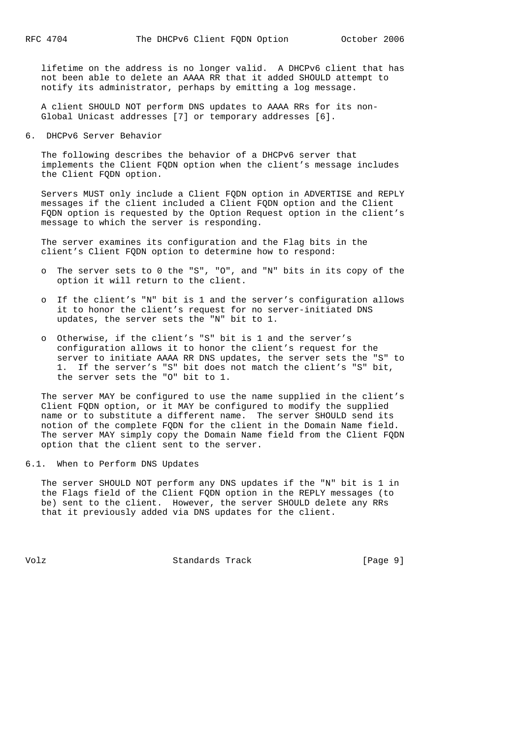lifetime on the address is no longer valid. A DHCPv6 client that has not been able to delete an AAAA RR that it added SHOULD attempt to notify its administrator, perhaps by emitting a log message.

 A client SHOULD NOT perform DNS updates to AAAA RRs for its non- Global Unicast addresses [7] or temporary addresses [6].

6. DHCPv6 Server Behavior

 The following describes the behavior of a DHCPv6 server that implements the Client FQDN option when the client's message includes the Client FQDN option.

 Servers MUST only include a Client FQDN option in ADVERTISE and REPLY messages if the client included a Client FQDN option and the Client FQDN option is requested by the Option Request option in the client's message to which the server is responding.

 The server examines its configuration and the Flag bits in the client's Client FQDN option to determine how to respond:

- o The server sets to 0 the "S", "O", and "N" bits in its copy of the option it will return to the client.
- o If the client's "N" bit is 1 and the server's configuration allows it to honor the client's request for no server-initiated DNS updates, the server sets the "N" bit to 1.
- o Otherwise, if the client's "S" bit is 1 and the server's configuration allows it to honor the client's request for the server to initiate AAAA RR DNS updates, the server sets the "S" to 1. If the server's "S" bit does not match the client's "S" bit, the server sets the "O" bit to 1.

 The server MAY be configured to use the name supplied in the client's Client FQDN option, or it MAY be configured to modify the supplied name or to substitute a different name. The server SHOULD send its notion of the complete FQDN for the client in the Domain Name field. The server MAY simply copy the Domain Name field from the Client FQDN option that the client sent to the server.

6.1. When to Perform DNS Updates

 The server SHOULD NOT perform any DNS updates if the "N" bit is 1 in the Flags field of the Client FQDN option in the REPLY messages (to be) sent to the client. However, the server SHOULD delete any RRs that it previously added via DNS updates for the client.

Volz Standards Track [Page 9]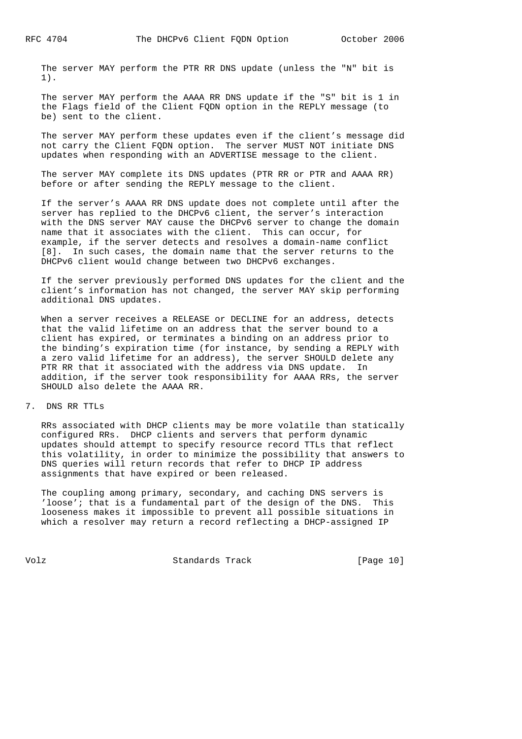The server MAY perform the PTR RR DNS update (unless the "N" bit is 1).

 The server MAY perform the AAAA RR DNS update if the "S" bit is 1 in the Flags field of the Client FQDN option in the REPLY message (to be) sent to the client.

 The server MAY perform these updates even if the client's message did not carry the Client FQDN option. The server MUST NOT initiate DNS updates when responding with an ADVERTISE message to the client.

 The server MAY complete its DNS updates (PTR RR or PTR and AAAA RR) before or after sending the REPLY message to the client.

 If the server's AAAA RR DNS update does not complete until after the server has replied to the DHCPv6 client, the server's interaction with the DNS server MAY cause the DHCPv6 server to change the domain name that it associates with the client. This can occur, for example, if the server detects and resolves a domain-name conflict [8]. In such cases, the domain name that the server returns to the DHCPv6 client would change between two DHCPv6 exchanges.

 If the server previously performed DNS updates for the client and the client's information has not changed, the server MAY skip performing additional DNS updates.

 When a server receives a RELEASE or DECLINE for an address, detects that the valid lifetime on an address that the server bound to a client has expired, or terminates a binding on an address prior to the binding's expiration time (for instance, by sending a REPLY with a zero valid lifetime for an address), the server SHOULD delete any PTR RR that it associated with the address via DNS update. In addition, if the server took responsibility for AAAA RRs, the server SHOULD also delete the AAAA RR.

7. DNS RR TTLs

 RRs associated with DHCP clients may be more volatile than statically configured RRs. DHCP clients and servers that perform dynamic updates should attempt to specify resource record TTLs that reflect this volatility, in order to minimize the possibility that answers to DNS queries will return records that refer to DHCP IP address assignments that have expired or been released.

 The coupling among primary, secondary, and caching DNS servers is 'loose'; that is a fundamental part of the design of the DNS. This looseness makes it impossible to prevent all possible situations in which a resolver may return a record reflecting a DHCP-assigned IP

Volz Standards Track [Page 10]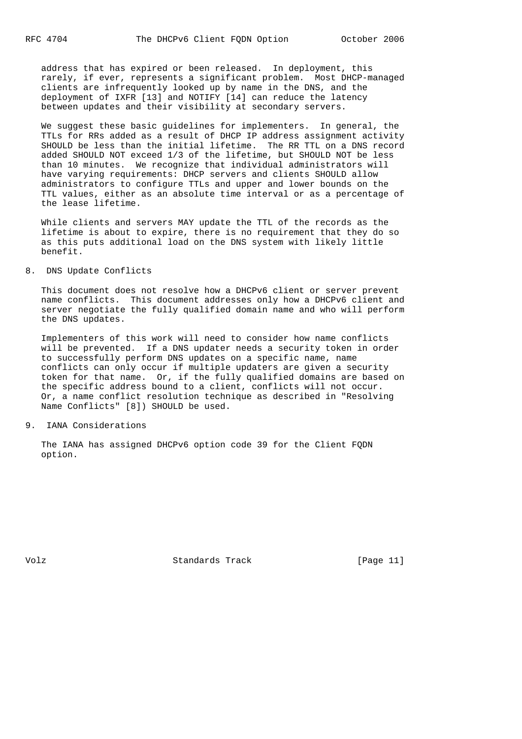address that has expired or been released. In deployment, this rarely, if ever, represents a significant problem. Most DHCP-managed clients are infrequently looked up by name in the DNS, and the deployment of IXFR [13] and NOTIFY [14] can reduce the latency between updates and their visibility at secondary servers.

 We suggest these basic guidelines for implementers. In general, the TTLs for RRs added as a result of DHCP IP address assignment activity SHOULD be less than the initial lifetime. The RR TTL on a DNS record added SHOULD NOT exceed 1/3 of the lifetime, but SHOULD NOT be less than 10 minutes. We recognize that individual administrators will have varying requirements: DHCP servers and clients SHOULD allow administrators to configure TTLs and upper and lower bounds on the TTL values, either as an absolute time interval or as a percentage of the lease lifetime.

 While clients and servers MAY update the TTL of the records as the lifetime is about to expire, there is no requirement that they do so as this puts additional load on the DNS system with likely little benefit.

### 8. DNS Update Conflicts

 This document does not resolve how a DHCPv6 client or server prevent name conflicts. This document addresses only how a DHCPv6 client and server negotiate the fully qualified domain name and who will perform the DNS updates.

 Implementers of this work will need to consider how name conflicts will be prevented. If a DNS updater needs a security token in order to successfully perform DNS updates on a specific name, name conflicts can only occur if multiple updaters are given a security token for that name. Or, if the fully qualified domains are based on the specific address bound to a client, conflicts will not occur. Or, a name conflict resolution technique as described in "Resolving Name Conflicts" [8]) SHOULD be used.

#### 9. IANA Considerations

 The IANA has assigned DHCPv6 option code 39 for the Client FQDN option.

Volz **Standards Track** [Page 11]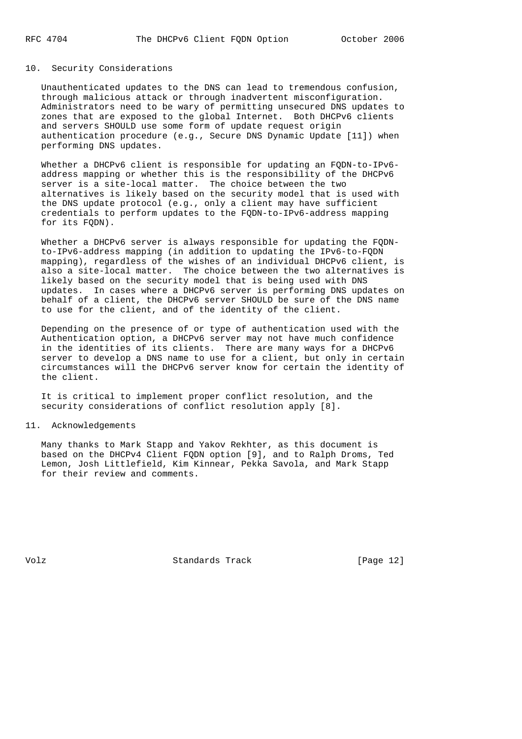# 10. Security Considerations

 Unauthenticated updates to the DNS can lead to tremendous confusion, through malicious attack or through inadvertent misconfiguration. Administrators need to be wary of permitting unsecured DNS updates to zones that are exposed to the global Internet. Both DHCPv6 clients and servers SHOULD use some form of update request origin authentication procedure (e.g., Secure DNS Dynamic Update [11]) when performing DNS updates.

 Whether a DHCPv6 client is responsible for updating an FQDN-to-IPv6 address mapping or whether this is the responsibility of the DHCPv6 server is a site-local matter. The choice between the two alternatives is likely based on the security model that is used with the DNS update protocol (e.g., only a client may have sufficient credentials to perform updates to the FQDN-to-IPv6-address mapping for its FQDN).

 Whether a DHCPv6 server is always responsible for updating the FQDN to-IPv6-address mapping (in addition to updating the IPv6-to-FQDN mapping), regardless of the wishes of an individual DHCPv6 client, is also a site-local matter. The choice between the two alternatives is likely based on the security model that is being used with DNS updates. In cases where a DHCPv6 server is performing DNS updates on behalf of a client, the DHCPv6 server SHOULD be sure of the DNS name to use for the client, and of the identity of the client.

 Depending on the presence of or type of authentication used with the Authentication option, a DHCPv6 server may not have much confidence in the identities of its clients. There are many ways for a DHCPv6 server to develop a DNS name to use for a client, but only in certain circumstances will the DHCPv6 server know for certain the identity of the client.

 It is critical to implement proper conflict resolution, and the security considerations of conflict resolution apply [8].

# 11. Acknowledgements

 Many thanks to Mark Stapp and Yakov Rekhter, as this document is based on the DHCPv4 Client FQDN option [9], and to Ralph Droms, Ted Lemon, Josh Littlefield, Kim Kinnear, Pekka Savola, and Mark Stapp for their review and comments.

Volz **Standards Track** [Page 12]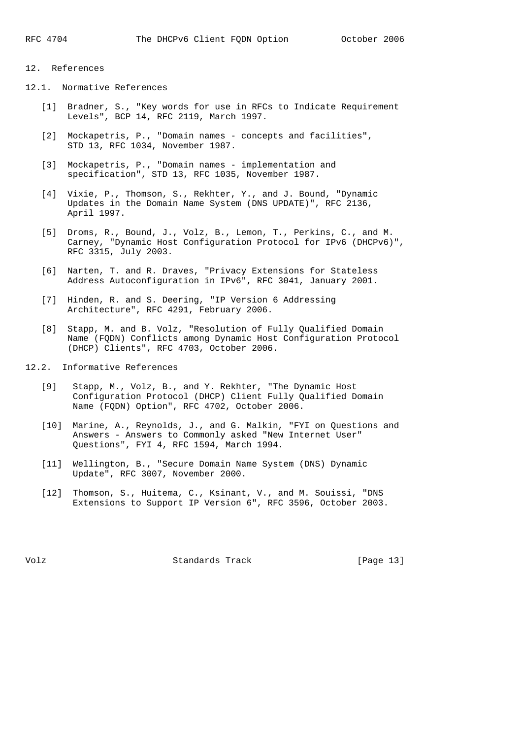# 12. References

- 12.1. Normative References
	- [1] Bradner, S., "Key words for use in RFCs to Indicate Requirement Levels", BCP 14, RFC 2119, March 1997.
	- [2] Mockapetris, P., "Domain names concepts and facilities", STD 13, RFC 1034, November 1987.
	- [3] Mockapetris, P., "Domain names implementation and specification", STD 13, RFC 1035, November 1987.
	- [4] Vixie, P., Thomson, S., Rekhter, Y., and J. Bound, "Dynamic Updates in the Domain Name System (DNS UPDATE)", RFC 2136, April 1997.
	- [5] Droms, R., Bound, J., Volz, B., Lemon, T., Perkins, C., and M. Carney, "Dynamic Host Configuration Protocol for IPv6 (DHCPv6)", RFC 3315, July 2003.
	- [6] Narten, T. and R. Draves, "Privacy Extensions for Stateless Address Autoconfiguration in IPv6", RFC 3041, January 2001.
	- [7] Hinden, R. and S. Deering, "IP Version 6 Addressing Architecture", RFC 4291, February 2006.
	- [8] Stapp, M. and B. Volz, "Resolution of Fully Qualified Domain Name (FQDN) Conflicts among Dynamic Host Configuration Protocol (DHCP) Clients", RFC 4703, October 2006.
- 12.2. Informative References
	- [9] Stapp, M., Volz, B., and Y. Rekhter, "The Dynamic Host Configuration Protocol (DHCP) Client Fully Qualified Domain Name (FQDN) Option", RFC 4702, October 2006.
	- [10] Marine, A., Reynolds, J., and G. Malkin, "FYI on Questions and Answers - Answers to Commonly asked "New Internet User" Questions", FYI 4, RFC 1594, March 1994.
	- [11] Wellington, B., "Secure Domain Name System (DNS) Dynamic Update", RFC 3007, November 2000.
	- [12] Thomson, S., Huitema, C., Ksinant, V., and M. Souissi, "DNS Extensions to Support IP Version 6", RFC 3596, October 2003.

Volz **Standards Track** [Page 13]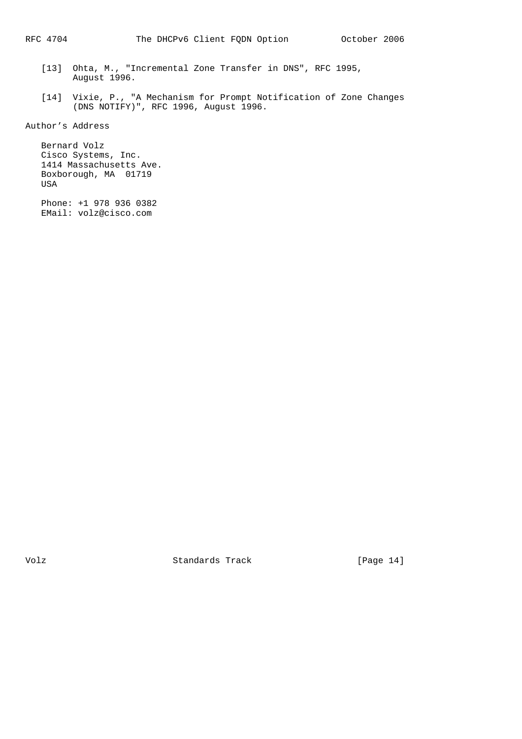- [13] Ohta, M., "Incremental Zone Transfer in DNS", RFC 1995, August 1996.
- [14] Vixie, P., "A Mechanism for Prompt Notification of Zone Changes (DNS NOTIFY)", RFC 1996, August 1996.

Author's Address

 Bernard Volz Cisco Systems, Inc. 1414 Massachusetts Ave. Boxborough, MA 01719 USA

 Phone: +1 978 936 0382 EMail: volz@cisco.com

Volz Standards Track [Page 14]